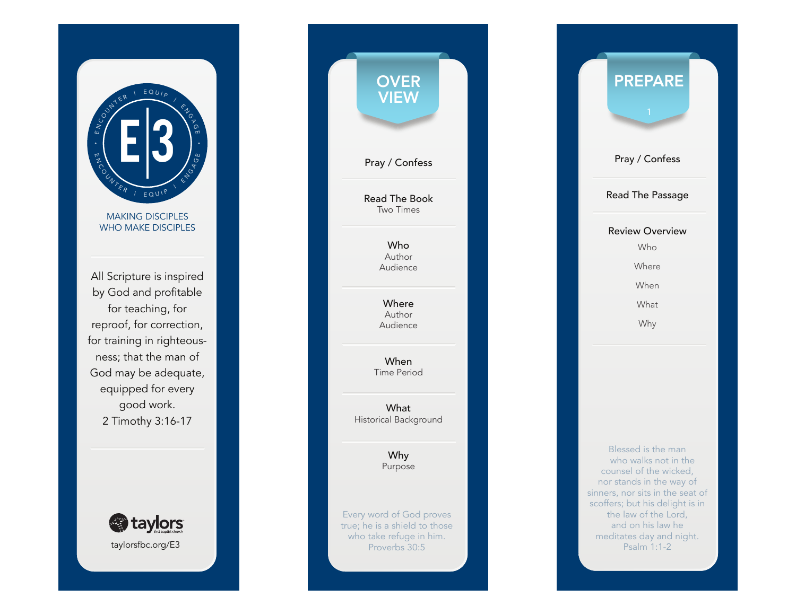

MAKING DISCIPLES WHO MAKE DISCIPLES

All Scripture is inspired by God and profitable for teaching, for reproof, for correction, for training in righteous ness; that the man of God may be adequate, equipped for every good work. 2 Timothy 3:16-17



| <b>OVER</b><br>VIEW                                                                                   |  |
|-------------------------------------------------------------------------------------------------------|--|
| Pray / Confess                                                                                        |  |
| <b>Read The Book</b><br><b>Two Times</b>                                                              |  |
| Who<br>Author<br>Audience                                                                             |  |
| Where<br>Author<br>Audience                                                                           |  |
| When<br><b>Time Period</b>                                                                            |  |
| What<br>Historical Background                                                                         |  |
| Why<br>Purpose                                                                                        |  |
| Every word of God proves<br>true; he is a shield to those<br>who take refuge in him.<br>Proverbs 30:5 |  |

Pray / Confess Read The Passage Review Overview Who Where When What Why PREPARE Blessed is the man who walks not in the counsel of the wicked, nor stands in the way of

sinners, nor sits in the seat of scoffers; but his delight is in the law of the Lord, and on his law he meditates day and night. Psalm 1:1-2